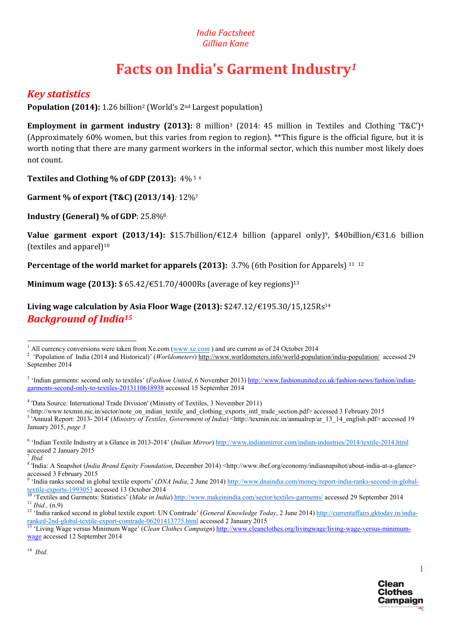## *India Factsheet Gillian Kane*

# Facts on India's Garment Industry*<sup>1</sup>*

# *Key statistics*

Population (2014): 1.26 billion2 (World's 2nd Largest population)

Employment in garment industry (2013): 8 million<sup>3</sup> (2014: 45 million in Textiles and Clothing 'T&C')<sup>4</sup> (Approximately 60% women, but this varies from region to region). \*\*This figure is the official figure, but it is worth noting that there are many garment workers in the informal sector, which this number most likely does not count.

Textiles and Clothing % of GDP (2013): 4% 5 *<sup>6</sup>*

Garment % of export (T&C) (2013/14)*:* 12%7

Industry (General) % of GDP: 25.8%8

**Value garment export (2013/14):** \$15.7billion/€12.4 billion (apparel only)<sup>9</sup>, \$40billion/€31.6 billion (textiles and apparel) $10$ 

Percentage of the world market for apparels (2013): 3.7% (6th Position for Apparels) <sup>11 12</sup>

**Minimum wage (2013):** \$ 65.42/€51.70/4000Rs (average of key regions)<sup>13</sup>

Living wage calculation by Asia Floor Wage (2013):  $$247.12/\text{\textsterling}195.30/15,125Rs^{14}$ *Background of India15*

<sup>7</sup> *Ibid.*

<sup>9</sup> 'India ranks second in global textile exports' (*DNA India*, 2 June 2014) http://www.dnaindia.com/money/report-india-ranks-second-in-global-

14 *Ibid*.



<sup>&</sup>lt;sup>1</sup> All currency conversions were taken from Xe.com (www.xe.com) and are current as of 24 October 2014

 <sup>&#</sup>x27;Population of India (2014 and Historical)' (*Worldometers*) http://www.worldometers.info/world-population/india-population/ accessed 29 September 2014

<sup>&</sup>lt;sup>3</sup> 'Indian garments: second only to textiles' (*Fashion United*, 6 November 2013) http://www.fashionunited.co.uk/fashion-news/fashion/indiangarments-second-only-to-textiles-2013110618938 accessed 15 September 2014

<sup>4</sup> 'Data Source: International Trade Division' (Ministry of Textiles, 3 November 2011)

<sup>&</sup>lt;http://www.texmin.nic.in/sector/note\_on\_indian\_textile\_and\_clothing\_exports\_intl\_trade\_section.pdf> accessed 3 February 2015 <sup>5</sup> 'Annual Report: 2013- 2014' (*Ministry of Textiles, Government of India*) <http://texmin.nic.in/annualrep/ar\_13\_14\_english.pdf> accessed 19 January 2015, *page 3* 

<sup>6</sup> 'Indian Textile Industry at a Glance in 2013-2014' (*Indian Mirror*) http://www.indianmirror.com/indian-industries/2014/textile-2014.html accessed 2 January 2015

<sup>&</sup>lt;sup>8</sup> 'India: A Snapshot (India Brand Equity Foundation, December 2014) <http://www.ibef.org/economy/indiasnapshot/about-india-at-a-glance> accessed 3 February 2015

 $\frac{\text{textile-exports-1993053}}{10} \cdot \frac{\text{textiles and Garments-1993053}}{10} \cdot \frac{\text{3}}{2} \cdot \frac{193053}{10} \cdot \frac{193053}{10} \cdot \frac{193053}{10} \cdot \frac{193053}{10} \cdot \frac{193053}{10} \cdot \frac{193053}{10} \cdot \frac{193053}{10} \cdot \frac{193053}{10} \cdot \frac{193053}{10} \cdot \frac{193053}{10} \cdot \frac{19305$ 

ranked-2nd-global-textile-export-comtrade-06201413775.html accessed 2 January 2015 13 'Living Wage versus Minimum Wage' (*Clean Clothes Campaign*) http://www.cleanclothes.org/livingwage/living-wage-versus-minimum-

wage accessed 12 September 2014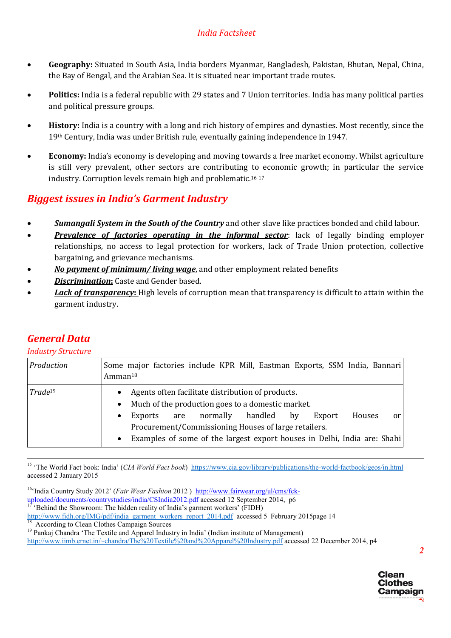- Geography: Situated in South Asia, India borders Myanmar, Bangladesh, Pakistan, Bhutan, Nepal, China, the Bay of Bengal, and the Arabian Sea. It is situated near important trade routes.
- Politics: India is a federal republic with 29 states and 7 Union territories. India has many political parties and political pressure groups.
- History: India is a country with a long and rich history of empires and dynasties. Most recently, since the 19th Century, India was under British rule, eventually gaining independence in 1947.
- Economy: India's economy is developing and moving towards a free market economy. Whilst agriculture is still very prevalent, other sectors are contributing to economic growth; in particular the service industry. Corruption levels remain high and problematic.16 <sup>17</sup>

# *Biggest issues in India's Garment Industry*

- *Sumangali System in the South of the Country* and other slave like practices bonded and child labour.
- **Prevalence of factories operating in the informal sector**: lack of legally binding employer relationships, no access to legal protection for workers, lack of Trade Union protection, collective bargaining, and grievance mechanisms.
- *No payment of minimum/ living wage*, and other employment related benefits
- *Discrimination*: Caste and Gender based.

*General Data Industry Structure*

 *Lack of transparency*: High levels of corruption mean that transparency is difficult to attain within the garment industry.

| <u>HIUUSU YOU UCUH C</u> |                                                                                                                                                                                                                                                                                                                                                                 |
|--------------------------|-----------------------------------------------------------------------------------------------------------------------------------------------------------------------------------------------------------------------------------------------------------------------------------------------------------------------------------------------------------------|
| Production               | Some major factories include KPR Mill, Eastman Exports, SSM India, Bannari<br>Amman <sup>18</sup>                                                                                                                                                                                                                                                               |
| $Trade^{19}$             | Agents often facilitate distribution of products.<br>$\bullet$<br>Much of the production goes to a domestic market.<br>$\bullet$<br>normally<br>handled<br>Houses<br>Export<br>bv<br>Exports<br>are<br>0r<br>٠<br>Procurement/Commissioning Houses of large retailers.<br>Examples of some of the largest export houses in Delhi, India are: Shahi<br>$\bullet$ |

<sup>15</sup> 'The World Fact book: India' (*CIA World Fact book*) https://www.cia.gov/library/publications/the-world-factbook/geos/in.html accessed 2 January 2015

16'India Country Study 2012' (*Fair Wear Fashion* 2012 ) http://www.fairwear.org/ul/cms/fckuploaded/documents/countrystudies/india/CSIndia2012.pdf accessed 12 September 2014, p6 <sup>17</sup> 'Behind the Showroom: The hidden reality of India's garment workers' (FIDH) http://www.fidh.org/IMG/pdf/india\_garment\_workers\_report\_2014.pdf accessed 5 February 2015page 14<br><sup>18</sup> According to Clean Clothes Campaign Sources<br><sup>19</sup> Pankaj Chandra 'The Textile and Apparel Industry in India' (Indian ins

http://www.iimb.ernet.in/~chandra/The%20Textile%20and%20Apparel%20Industry.pdf accessed 22 December 2014, p4

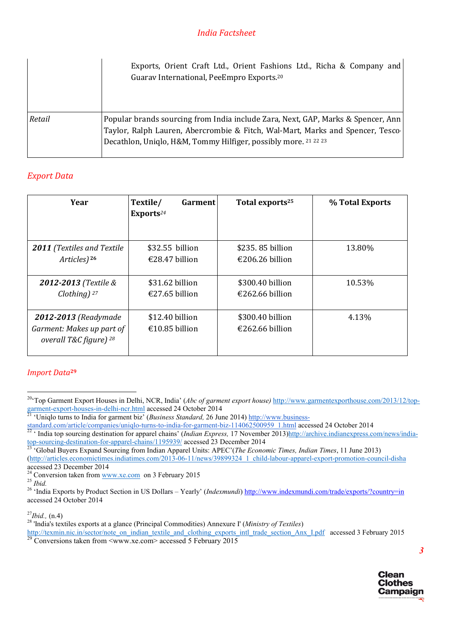|        | Exports, Orient Craft Ltd., Orient Fashions Ltd., Richa & Company and<br>Guarav International, PeeEmpro Exports. <sup>20</sup>                                                                                                           |
|--------|------------------------------------------------------------------------------------------------------------------------------------------------------------------------------------------------------------------------------------------|
| Retail | Popular brands sourcing from India include Zara, Next, GAP, Marks & Spencer, Ann  <br>Taylor, Ralph Lauren, Abercrombie & Fitch, Wal-Mart, Marks and Spencer, Tesco  <br>Decathlon, Uniqlo, H&M, Tommy Hilfiger, possibly more. 21 22 23 |

# *Export Data*

| Year                                                                                   | Textile/<br>Garment<br>Exports <sup>24</sup> | Total exports <sup>25</sup>         | % Total Exports |
|----------------------------------------------------------------------------------------|----------------------------------------------|-------------------------------------|-----------------|
| <b>2011</b> (Textiles and Textile                                                      | \$32.55 billion                              | \$235, 85 billion                   | 13.80%          |
| Articles) <sup>26</sup>                                                                | €28.47 billion                               | €206.26 billion                     |                 |
| 2012-2013 (Textile &                                                                   | \$31.62 billion                              | \$300.40 billion                    | 10.53%          |
| Clothing) $27$                                                                         | €27.65 billion                               | €262.66 billion                     |                 |
| 2012-2013 (Readymade<br>Garment: Makes up part of<br>overall T&C figure) <sup>28</sup> | \$12.40 billion<br>€10.85 billion            | \$300.40 billion<br>€262.66 billion | 4.13%           |

#### *Import Data*<sup>29</sup>



<sup>&</sup>lt;sup>20</sup>Top Garment Export Houses in Delhi, NCR, India' (*Abc of garment export house*) http://www.garmentexporthouse.com/2013/12/top-<br>garment-export-houses-in-delhi-ncr.html accessed 24 October 2014

<sup>&#</sup>x27;Uniqlo turns to India for garment biz' (*Business Standard*, 26 June 2014) http://www.business-

 $\frac{\frac{1}{22} \cdot \frac{1}{21}}{1000}$  Standard.com/article/companies/uniqlo-turns-to-india-for-garment-biz-114062500959 1.html accessed 24 October 2014

top-sourcing-destination-for-apparel-chains/1195939/ accessed 23 December 2014 <sup>23</sup> 'Global Buyers Expand Sourcing from Indian Apparel Units: APEC'(*The Economic Times, Indian Times*, 11 June 2013) (http://articles.economictimes.indiatimes.com/2013-06-11/news/39899324\_1\_child-labour-apparel-export-promotion-council-disha

accessed 23 December 2014<br><sup>24</sup> Conversion taken from <u>www.xe.com</u> on 3 February 2015

<sup>24</sup> Conversion taken from www.xe.com on 3 February 2015 <sup>25</sup> *Ibid.* <sup>26</sup> 'India Exports by Product Section in US Dollars – Yearly' (*Indexmundi*) http://www.indexmundi.com/trade/exports/?country=in accessed 24 October 2014

<sup>&</sup>lt;sup>27</sup>*Ibid.,* (n.4)<br><sup>28</sup> 'India's textiles exports at a glance (Principal Commodities) Annexure I' (*Ministry of Textiles*)

http://texmin.nic.in/sector/note\_on\_indian\_textile\_and\_clothing\_exports\_intl\_trade\_section\_Anx\_I.pdf accessed 3 February 2015 <sup>29</sup> Conversions taken from <www.xe.com> accessed 5 February 2015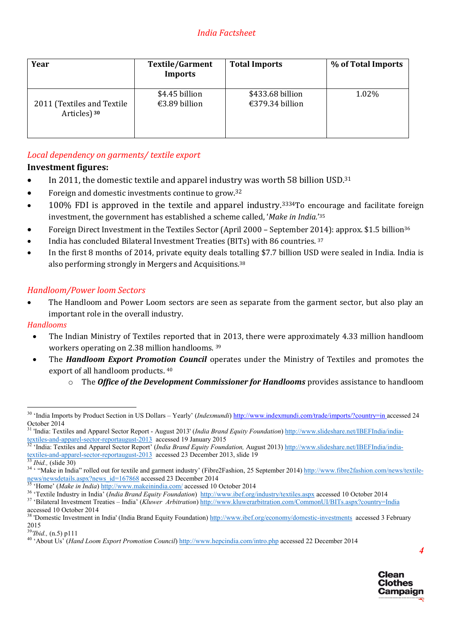| Year                       | <b>Textile/Garment</b><br><b>Imports</b> | <b>Total Imports</b> | % of Total Imports |
|----------------------------|------------------------------------------|----------------------|--------------------|
| 2011 (Textiles and Textile | \$4.45 billion                           | \$433.68 billion     | 1.02%              |
| Articles) <sup>30</sup>    | €3.89 billion                            | €379.34 billion      |                    |

# *Local dependency on garments/ textile export*

## Investment figures:

- In 2011, the domestic textile and apparel industry was worth 58 billion USD.31
- Foreign and domestic investments continue to grow.<sup>32</sup>
- 100% FDI is approved in the textile and apparel industry.3334To encourage and facilitate foreign investment, the government has established a scheme called, '*Make in India.*'35
- Foreign Direct Investment in the Textiles Sector (April 2000 September 2014): approx. \$1.5 billion<sup>36</sup>
- India has concluded Bilateral Investment Treaties (BITs) with 86 countries. 37
- In the first 8 months of 2014, private equity deals totalling \$7.7 billion USD were sealed in India. India is also performing strongly in Mergers and Acquisitions.38

# *Handloom/Power loom Sectors*

• The Handloom and Power Loom sectors are seen as separate from the garment sector, but also play an important role in the overall industry.

## *Handlooms*

- The Indian Ministry of Textiles reported that in 2013, there were approximately 4.33 million handloom workers operating on 2.38 million handlooms. 39
- The *Handloom Export Promotion Council* operates under the Ministry of Textiles and promotes the export of all handloom products. 40
	- o The *Office of the Development Commissioner for Handlooms* provides assistance to handloom

<sup>&</sup>lt;sup>40</sup>'About Us' (*Hand Loom Export Promotion Council*) http://www.hepcindia.com/intro.php accessed 22 December 2014



<sup>&</sup>lt;sup>30</sup> 'India Imports by Product Section in US Dollars – Yearly' (Indexmundi) http://www.indexmundi.com/trade/imports/?country=in accessed 24 October 2014

<sup>&</sup>lt;sup>31</sup> 'India: Textiles and Apparel Sector Report - August 2013' (*India Brand Equity Foundation*) http://www.slideshare.net/IBEFIndia/india-<br>textiles-and-apparel-sector-reportaugust-2013 accessed 19 January 2015<br><sup>32</sup> 'India

<sup>&</sup>lt;sup>32</sup> 'India: Textiles and Apparel Sector Report' (*India Brand Equity Foundation*, August 2013) http://www.slideshare.net/IBEFIndia/india-<br>textiles-and-apparel-sector-reportaugust-2013 accessed 23 December 2013, slide 19

<sup>&</sup>lt;sup>33</sup> *Ibid.*, (slide 30)<br><sup>34</sup> · "Make in India" rolled out for textile and garment industry' (Fibre2Fashion, 25 September 2014) http://www.fibre2fashion.com/news/textile-<br>news/newsdetails.aspx?news\_id=167868\_accessed 23 D

<sup>&</sup>lt;sup>35</sup> 'Home' (*Make in India*) http://www.makeinindia.com/ accessed 10 October 2014<br><sup>36</sup> 'Textile Industry in India' (*India Brand Equity Foundation*) http://www.ibef.org/industry/textiles.aspx accessed 10 October 2014<br><sup>37</sup>

accessed 10 October 2014

<sup>&</sup>lt;sup>38</sup> 'Domestic Investment in India' (India Brand Equity Foundation) http://www.ibef.org/economy/domestic-investments accessed 3 February 2015<br><sup>39</sup>Thid., (n.5) p111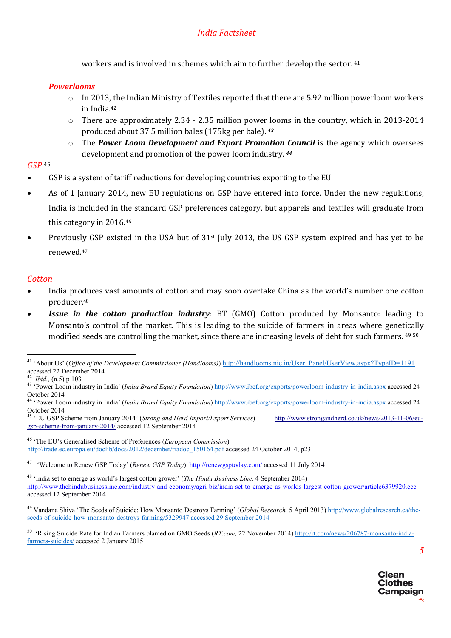workers and is involved in schemes which aim to further develop the sector. 41

#### *Powerlooms*

- $\circ$  In 2013, the Indian Ministry of Textiles reported that there are 5.92 million powerloom workers in India.42
- $\circ$  There are approximately 2.34 2.35 million power looms in the country, which in 2013-2014 produced about 37.5 million bales (175kg per bale). *<sup>43</sup>*
- o The *Power Loom Development and Export Promotion Council* is the agency which oversees development and promotion of the power loom industry. *<sup>44</sup>*

#### *GSP* <sup>45</sup>

- GSP is a system of tariff reductions for developing countries exporting to the EU.
- As of 1 January 2014, new EU regulations on GSP have entered into force. Under the new regulations, India is included in the standard GSP preferences category, but apparels and textiles will graduate from this category in 2016.46
- Previously GSP existed in the USA but of 31st July 2013, the US GSP system expired and has yet to be renewed.47

#### *Cotton*

- India produces vast amounts of cotton and may soon overtake China as the world's number one cotton producer.48
- *Issue in the cotton production industry*: BT (GMO) Cotton produced by Monsanto: leading to Monsanto's control of the market. This is leading to the suicide of farmers in areas where genetically modified seeds are controlling the market, since there are increasing levels of debt for such farmers. <sup>49</sup> <sup>50</sup>



<sup>&</sup>lt;sup>41</sup> 'About Us' (*Office of the Development Commissioner (Handlooms)*) http://handlooms.nic.in/User\_Panel/UserView.aspx?TypeID=1191 accessed 22 December 2014

<sup>&</sup>lt;sup>42</sup> *Ibid.*, (n.5) p 103<br><sup>43</sup> 'Power Loom industry in India' (*India Brand Equity Foundation*) http://www.ibef.org/exports/powerloom-industry-in-india.aspx accessed 24 October 2014 44 'Power Loom industry in India' (*India Brand Equity Foundation*) http://www.ibef.org/exports/powerloom-industry-in-india.aspx accessed 24

October 2014

<sup>45</sup> 'EU GSP Scheme from January 2014' (*Strong and Herd Import/Export Services*) http://www.strongandherd.co.uk/news/2013-11-06/eugsp-scheme-from-january-2014/ accessed 12 September 2014

<sup>46</sup> 'The EU's Generalised Scheme of Preferences (*European Commission*) http://trade.ec.europa.eu/doclib/docs/2012/december/tradoc\_150164.pdf accessed 24 October 2014, p23

<sup>&</sup>lt;sup>47</sup> 'Welcome to Renew GSP Today' (*Renew GSP Today*) http://renewgsptoday.com/ accessed 11 July 2014

<sup>48</sup> 'India set to emerge as world's largest cotton grower' (*The Hindu Business Line,* 4 September 2014) http://www.thehindubusinessline.com/industry-and-economy/agri-biz/india-set-to-emerge-as-worlds-largest-cotton-grower/article6379920.ece accessed 12 September 2014

<sup>49</sup> Vandana Shiva 'The Seeds of Suicide: How Monsanto Destroys Farming' (*Global Research,* 5 April 2013) http://www.globalresearch.ca/theseeds-of-suicide-how-monsanto-destroys-farming/5329947 accessed 29 September 2014

<sup>50 &#</sup>x27;Rising Suicide Rate for Indian Farmers blamed on GMO Seeds (*RT.com,* 22 November 2014) http://rt.com/news/206787-monsanto-indiafarmers-suicides/ accessed 2 January 2015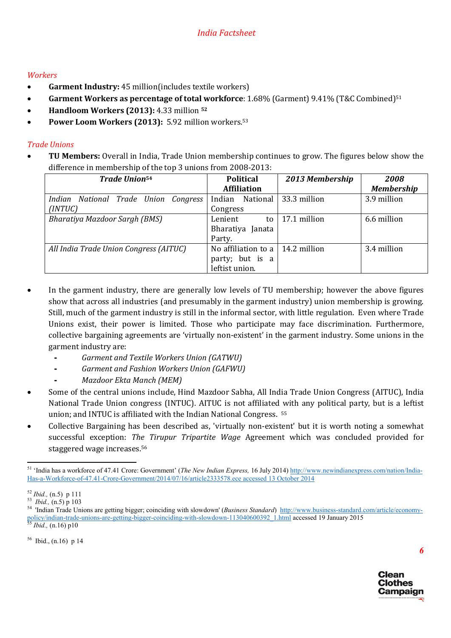## *Workers*

- Garment Industry: 45 million(includes textile workers)
- Garment Workers as percentage of total workforce:  $1.68\%$  (Garment)  $9.41\%$  (T&C Combined)<sup>51</sup>
- Handloom Workers (2013): 4.33 million <sup>52</sup>
- Power Loom Workers (2013): 5.92 million workers.<sup>53</sup>

# *Trade Unions*

 TU Members: Overall in India, Trade Union membership continues to grow. The figures below show the difference in membership of the top 3 unions from 2008-2013:

| <b>Trade Union</b> <sup>54</sup>        | <b>Political</b>    | 2013 Membership | 2008              |
|-----------------------------------------|---------------------|-----------------|-------------------|
|                                         | <b>Affiliation</b>  |                 | <b>Membership</b> |
| National Trade Union Congress<br>Indian | National<br>Indian  | 33.3 million    | 3.9 million       |
| (INTUC)                                 | Congress            |                 |                   |
| <b>Bharatiya Mazdoor Sargh (BMS)</b>    | Lenient<br>to       | 17.1 million    | 6.6 million       |
|                                         | Bharatiya Janata    |                 |                   |
|                                         | Party.              |                 |                   |
| All India Trade Union Congress (AITUC)  | No affiliation to a | 14.2 million    | 3.4 million       |
|                                         | party; but is a     |                 |                   |
|                                         | leftist union.      |                 |                   |

- In the garment industry, there are generally low levels of TU membership; however the above figures show that across all industries (and presumably in the garment industry) union membership is growing. Still, much of the garment industry is still in the informal sector, with little regulation. Even where Trade Unions exist, their power is limited. Those who participate may face discrimination. Furthermore, collective bargaining agreements are 'virtually non-existent' in the garment industry. Some unions in the garment industry are:
	- *Garment and Textile Workers Union (GATWU)*
	- *Garment and Fashion Workers Union (GAFWU)*
	- *Mazdoor Ekta Manch (MEM)*
- Some of the central unions include, Hind Mazdoor Sabha, All India Trade Union Congress (AITUC), India National Trade Union congress (INTUC). AITUC is not affiliated with any political party, but is a leftist union; and INTUC is affiliated with the Indian National Congress. 55
- Collective Bargaining has been described as, 'virtually non-existent' but it is worth noting a somewhat successful exception: *The Tirupur Tripartite Wage* Agreement which was concluded provided for staggered wage increases.56

 $56$  Ibid., (n.16) p 14



 <sup>51</sup> 'India has a workforce of 47.41 Crore: Government' (*The New Indian Express,* 16 July 2014) http://www.newindianexpress.com/nation/India-Has-a-Workforce-of-47.41-Crore-Government/2014/07/16/article2333578.ece accessed 13 October 2014

<sup>&</sup>lt;sup>52</sup> *Ibid.*, (n.5) p 111<br><sup>53</sup> *Ibid.*, (n.5) p 103<br><sup>54</sup> 'Indian Trade Unions are getting bigger; coinciding with slowdown' (*Business Standard*) <u>http://www.business-standard.com/article/economy-</u> policy/indian-trade-unions-are-getting-bigger-coinciding-with-slowdown-113040600392\_1.html accessed 19 January 2015 55 *Ibid.,* (n.16) p10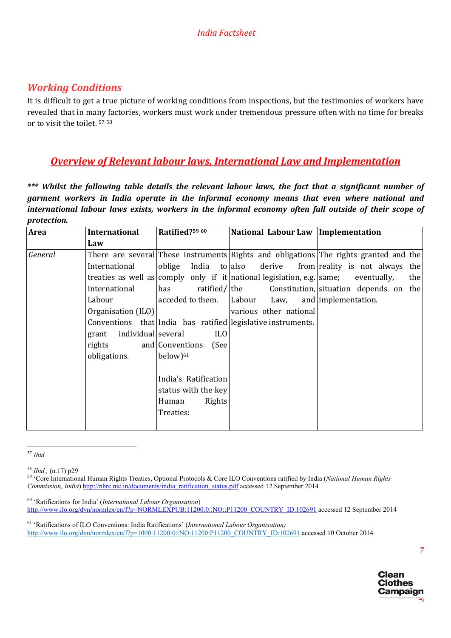# *Working Conditions*

It is difficult to get a true picture of working conditions from inspections, but the testimonies of workers have revealed that in many factories, workers must work under tremendous pressure often with no time for breaks or to visit the toilet. 57 <sup>58</sup>

# *Overview of Relevant labour laws, International Law and Implementation*

*\*\*\* Whilst the following table details the relevant labour laws, the fact that a significant number of garment workers in India operate in the informal economy means that even where national and international labour laws exists, workers in the informal economy often fall outside of their scope of protection.* 

| Area    | <b>International</b>        | Ratified?59 60         | National Labour Law   Implementation                                               |                                                                                       |
|---------|-----------------------------|------------------------|------------------------------------------------------------------------------------|---------------------------------------------------------------------------------------|
|         | Law                         |                        |                                                                                    |                                                                                       |
| General |                             |                        |                                                                                    | There are several These instruments Rights and obligations The rights granted and the |
|         | International               |                        |                                                                                    | $\alpha$ oblige India to also derive from reality is not always the                   |
|         |                             |                        | treaties as well as comply only if it national legislation, e.g. same; eventually, | the                                                                                   |
|         | International               | has                    |                                                                                    | ratified/ the Constitution, situation depends on the                                  |
|         | Labour                      | acceded to them.       | Labour<br>Law,                                                                     | and implementation.                                                                   |
|         | Organisation (ILO)          |                        | various other national                                                             |                                                                                       |
|         |                             |                        | Conventions that India has ratified legislative instruments.                       |                                                                                       |
|         | individual several<br>grant | <b>ILO</b>             |                                                                                    |                                                                                       |
|         | rights                      | and Conventions (See   |                                                                                    |                                                                                       |
|         | obligations.                | $below)$ <sup>61</sup> |                                                                                    |                                                                                       |
|         |                             |                        |                                                                                    |                                                                                       |
|         |                             | India's Ratification   |                                                                                    |                                                                                       |
|         |                             | status with the key    |                                                                                    |                                                                                       |
|         |                             | <b>Rights</b><br>Human |                                                                                    |                                                                                       |
|         |                             | Treaties:              |                                                                                    |                                                                                       |
|         |                             |                        |                                                                                    |                                                                                       |

 <sup>57</sup> *Ibid.*



<sup>58</sup> *Ibid.,* (n.17) p29 59 'Core International Human Rights Treaties, Optional Protocols & Core ILO Conventions ratified by India (*National Human Rights Commission, India*) http://nhrc.nic.in/documents/india\_ratification\_status.pdf accessed 12 September 2014

<sup>60</sup> 'Ratifications for India' (*International Labour Organisation*) http://www.ilo.org/dyn/normlex/en/f?p=NORMLEXPUB:11200:0::NO::P11200\_COUNTRY\_ID:102691 accessed 12 September 2014

<sup>61</sup> 'Ratifications of ILO Conventions: India Ratifications' (*International Labour Organisation)* http://www.ilo.org/dyn/normlex/en/f?p=1000:11200:0::NO:11200:P11200\_COUNTRY\_ID:102691 accessed 10 October 2014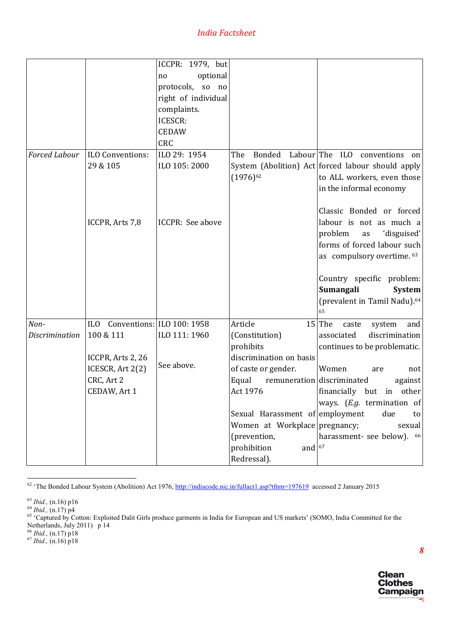|                       |                                | ICCPR: 1979, but        |                                 |                                                   |
|-----------------------|--------------------------------|-------------------------|---------------------------------|---------------------------------------------------|
|                       |                                | optional<br>no          |                                 |                                                   |
|                       |                                | protocols, so no        |                                 |                                                   |
|                       |                                | right of individual     |                                 |                                                   |
|                       |                                | complaints.             |                                 |                                                   |
|                       |                                | ICESCR:                 |                                 |                                                   |
|                       |                                | <b>CEDAW</b>            |                                 |                                                   |
|                       |                                | CRC                     |                                 |                                                   |
| Forced Labour         | ILO Conventions:               | ILO 29: 1954            | The                             | Bonded Labour The ILO conventions on              |
|                       | 29 & 105                       | ILO 105: 2000           |                                 |                                                   |
|                       |                                |                         |                                 | System (Abolition) Act forced labour should apply |
|                       |                                |                         | $(1976)^{62}$                   | to ALL workers, even those                        |
|                       |                                |                         |                                 | in the informal economy                           |
|                       |                                |                         |                                 |                                                   |
|                       |                                |                         |                                 | Classic Bonded or forced                          |
|                       | ICCPR, Arts 7,8                | <b>ICCPR: See above</b> |                                 | labour is not as much a                           |
|                       |                                |                         |                                 | 'disguised'<br>problem<br>as                      |
|                       |                                |                         |                                 | forms of forced labour such                       |
|                       |                                |                         |                                 | as compulsory overtime. 63                        |
|                       |                                |                         |                                 |                                                   |
|                       |                                |                         |                                 | Country specific problem:                         |
|                       |                                |                         |                                 | Sumangali<br><b>System</b>                        |
|                       |                                |                         |                                 | (prevalent in Tamil Nadu). <sup>64</sup>          |
|                       |                                |                         |                                 | 65                                                |
| Non-                  | ILO Conventions: ILO 100: 1958 |                         | Article                         | $15$ The<br>and<br>caste<br>system                |
| <b>Discrimination</b> | 100 & 111                      | ILO 111: 1960           | (Constitution)                  | discrimination<br>associated                      |
|                       |                                |                         | prohibits                       | continues to be problematic.                      |
|                       | ICCPR, Arts 2, 26              | See above.              | discrimination on basis         |                                                   |
|                       | ICESCR, Art 2(2)               |                         | of caste or gender.             | Women<br>are<br>not                               |
|                       | CRC, Art 2                     |                         | Equal                           | remuneration discriminated<br>against             |
|                       | CEDAW, Art 1                   |                         | Act 1976                        | financially but<br>other<br>in                    |
|                       |                                |                         |                                 | ways. $(E.g.$ termination of                      |
|                       |                                |                         | Sexual Harassment of employment | due<br>to                                         |
|                       |                                |                         | Women at Workplace pregnancy;   | sexual                                            |
|                       |                                |                         | (prevention,                    | harassment- see below). 66                        |
|                       |                                |                         | prohibition<br>and $67$         |                                                   |
|                       |                                |                         | Redressal).                     |                                                   |

<sup>62</sup> 'The Bonded Labour System (Abolition) Act 1976, http://indiacode.nic.in/fullact1.asp?tfnm=197619 accessed 2 January 2015

<sup>63</sup> *Ibid.*, (n.16) p16<br><sup>64</sup> *Ibid.*, (n.17) p4<br><sup>65</sup> 'Captured by Cotton: Exploited Dalit Girls produce garments in India for European and US markets' (SOMO, India Committed for the Netherlands, July 2011) p 14



<sup>66</sup> *Ibid.,* (n.17) p18 67 *Ibid.,* (n.16) p18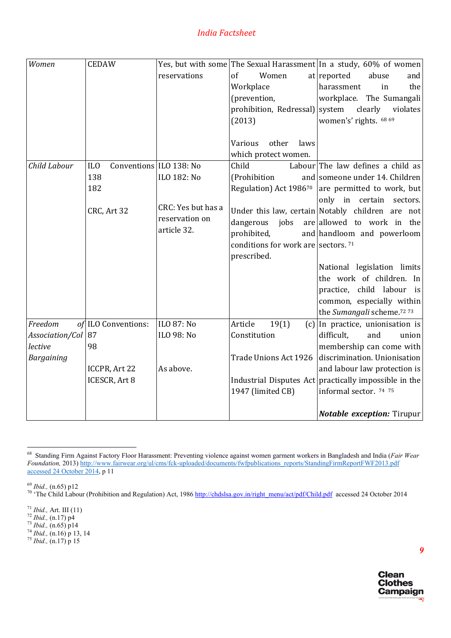| Women             | <b>CEDAW</b>                               |                    |                                       | Yes, but with some The Sexual Harassment In a study, 60% of women |
|-------------------|--------------------------------------------|--------------------|---------------------------------------|-------------------------------------------------------------------|
|                   |                                            | reservations       | of<br>Women                           | at reported<br>abuse<br>and                                       |
|                   |                                            |                    | Workplace                             | harassment<br>in<br>the                                           |
|                   |                                            |                    | (prevention,                          | workplace. The Sumangali                                          |
|                   |                                            |                    | prohibition, Redressal) system        | clearly<br>violates                                               |
|                   |                                            |                    | (2013)                                | women's' rights. 68 69                                            |
|                   |                                            |                    |                                       |                                                                   |
|                   |                                            |                    | Various<br>other<br>laws              |                                                                   |
|                   |                                            |                    | which protect women.                  |                                                                   |
| Child Labour      | Conventions ILO 138: No<br>IL <sub>0</sub> |                    | Child                                 | Labour The law defines a child as                                 |
|                   | 138                                        | ILO 182: No        | (Prohibition                          | and someone under 14. Children                                    |
|                   | 182                                        |                    |                                       | Regulation) Act 1986 <sup>70</sup> are permitted to work, but     |
|                   |                                            | CRC: Yes but has a |                                       | only in certain sectors.                                          |
|                   | CRC, Art 32                                | reservation on     |                                       | Under this law, certain Notably children are not                  |
|                   |                                            | article 32.        | jobs<br>dangerous                     | are allowed to work in the                                        |
|                   |                                            |                    | prohibited,                           | and handloom and powerloom                                        |
|                   |                                            |                    | conditions for work are sectors. $71$ |                                                                   |
|                   |                                            |                    | prescribed.                           |                                                                   |
|                   |                                            |                    |                                       | National legislation limits                                       |
|                   |                                            |                    |                                       | the work of children. In                                          |
|                   |                                            |                    |                                       | practice, child labour is                                         |
|                   |                                            |                    |                                       | common, especially within                                         |
|                   |                                            |                    |                                       | the Sumangali scheme. <sup>72</sup> 73                            |
| Freedom           | of ILO Conventions:                        | ILO 87: No         | Article<br>19(1)                      | $(c)$ In practice, unionisation is                                |
| Association/Col   | 87                                         | ILO 98: No         | Constitution                          | difficult,<br>and<br>union                                        |
| lective           | 98                                         |                    |                                       | membership can come with                                          |
| <b>Bargaining</b> |                                            |                    | Trade Unions Act 1926                 | discrimination. Unionisation                                      |
|                   | ICCPR, Art 22                              | As above.          |                                       | and labour law protection is                                      |
|                   | ICESCR, Art 8                              |                    |                                       | Industrial Disputes Act practically impossible in the             |
|                   |                                            |                    | 1947 (limited CB)                     | informal sector. 74 75                                            |
|                   |                                            |                    |                                       |                                                                   |
|                   |                                            |                    |                                       | <b>Notable exception: Tirupur</b>                                 |

 <sup>68</sup> Standing Firm Against Factory Floor Harassment: Preventing violence against women garment workers in Bangladesh and India (*Fair Wear Foundation,* 2013) http://www.fairwear.org/ul/cms/fck-uploaded/documents/fwfpublications\_reports/StandingFirmReportFWF2013.pdf accessed 24 October 2014, p 11



<sup>&</sup>lt;sup>69</sup> *Ibid.*, (n.65) p12<br><sup>70</sup> 'The Child Labour (Prohibition and Regulation) Act, 1986 http://chdslsa.gov.in/right\_menu/act/pdf/Child.pdf accessed 24 October 2014

<sup>71</sup> *Ibid.,* Art. III (11) 72 *Ibid.,* (n.17) p4 73 *Ibid.,* (n.65) p14 74 *Ibid.,* (n.16) p 13, 14 <sup>75</sup> *Ibid.,* (n.17) p 15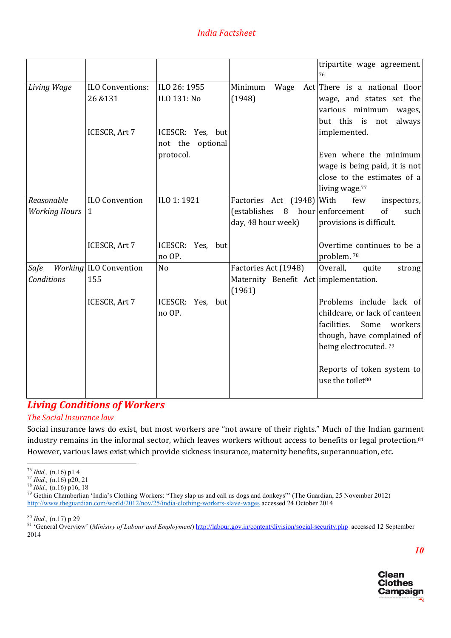|                                    |                                       |                                         |                                                                         | tripartite wage agreement.<br>76                                                                                                                               |
|------------------------------------|---------------------------------------|-----------------------------------------|-------------------------------------------------------------------------|----------------------------------------------------------------------------------------------------------------------------------------------------------------|
| Living Wage                        | <b>ILO Conventions:</b><br>26 & 131   | ILO 26: 1955<br>ILO 131: No             | Minimum<br>Wage<br>(1948)                                               | Act There is a national floor<br>wage, and states set the<br>various minimum<br>wages,                                                                         |
|                                    | ICESCR, Art 7                         | ICESCR: Yes, but<br>not the<br>optional |                                                                         | but this is<br>always<br>not<br>implemented.                                                                                                                   |
|                                    |                                       | protocol.                               |                                                                         | Even where the minimum<br>wage is being paid, it is not<br>close to the estimates of a<br>living wage. <sup>77</sup>                                           |
| Reasonable<br><b>Working Hours</b> | <b>ILO Convention</b><br>$\mathbf{1}$ | ILO 1:1921                              | Factories Act (1948) With<br>(establishes<br>day, 48 hour week)         | few<br>inspectors,<br>8 hour enforcement<br>of<br>such<br>provisions is difficult.                                                                             |
|                                    | ICESCR, Art 7                         | ICESCR: Yes, but<br>no OP.              |                                                                         | Overtime continues to be a<br>problem. <sup>78</sup>                                                                                                           |
| Safe<br>Conditions                 | Working ILO Convention<br>155         | N <sub>o</sub>                          | Factories Act (1948)<br>Maternity Benefit Act implementation.<br>(1961) | Overall,<br>quite<br>strong                                                                                                                                    |
|                                    | ICESCR, Art 7                         | ICESCR: Yes, but<br>no OP.              |                                                                         | Problems include lack of<br>childcare, or lack of canteen<br>facilities.<br>Some<br>workers<br>though, have complained of<br>being electrocuted. <sup>79</sup> |
|                                    |                                       |                                         |                                                                         | Reports of token system to<br>use the toilet <sup>80</sup>                                                                                                     |

# *Living Conditions of Workers*

## *The Social Insurance law*

Social insurance laws do exist, but most workers are "not aware of their rights." Much of the Indian garment industry remains in the informal sector, which leaves workers without access to benefits or legal protection.<sup>81</sup> However, various laws exist which provide sickness insurance, maternity benefits, superannuation, etc.



<sup>&</sup>lt;sup>76</sup> *Ibid.*, (n.16) p1 4<br><sup>77</sup> *Ibid.*, (n.16) p20, 21<br><sup>78</sup> *Ibid.*, (n.16) p16, 18<br><sup>79</sup> Gethin Chamberlian 'India's Clothing Workers: "They slap us and call us dogs and donkeys"' (The Guardian, 25 November 2012) http://www.theguardian.com/world/2012/nov/25/india-clothing-workers-slave-wages accessed 24 October 2014

<sup>&</sup>lt;sup>80</sup> *Ibid.*, (n.17) p 29<br><sup>81</sup> 'General Overview' (*Ministry of Labour and Employment*) http://labour.gov.in/content/division/social-security.php accessed 12 September 2014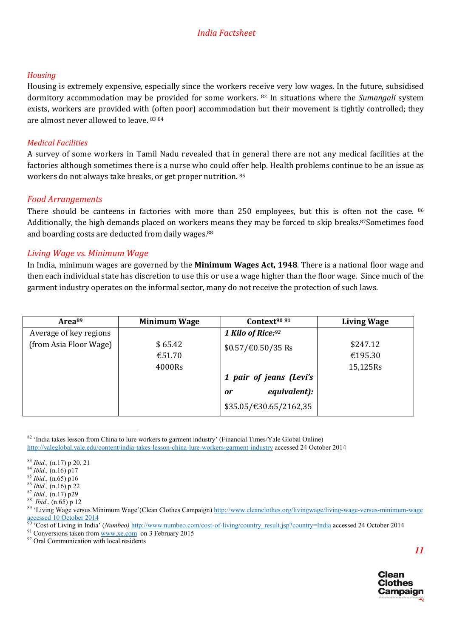#### *Housing*

Housing is extremely expensive, especially since the workers receive very low wages. In the future, subsidised dormitory accommodation may be provided for some workers. 82 In situations where the *Sumangali* system exists, workers are provided with (often poor) accommodation but their movement is tightly controlled; they are almost never allowed to leave. 83 84

#### *Medical Facilities*

A survey of some workers in Tamil Nadu revealed that in general there are not any medical facilities at the factories although sometimes there is a nurse who could offer help. Health problems continue to be an issue as workers do not always take breaks, or get proper nutrition. 85

#### *Food Arrangements*

There should be canteens in factories with more than 250 employees, but this is often not the case. 86 Additionally, the high demands placed on workers means they may be forced to skip breaks.87Sometimes food and boarding costs are deducted from daily wages.<sup>88</sup>

#### *Living Wage vs. Minimum Wage*

In India, minimum wages are governed by the Minimum Wages Act, 1948. There is a national floor wage and then each individual state has discretion to use this or use a wage higher than the floor wage. Since much of the garment industry operates on the informal sector, many do not receive the protection of such laws.

| Area <sup>89</sup>     | <b>Minimum Wage</b> | Context <sup>90 91</sup>               | <b>Living Wage</b> |
|------------------------|---------------------|----------------------------------------|--------------------|
| Average of key regions |                     | 1 Kilo of Rice:92                      |                    |
| (from Asia Floor Wage) | \$65.42             | $$0.57/\text{\textsterling}0.50/35$ Rs | \$247.12           |
|                        | €51.70              |                                        | €195.30            |
|                        | 4000Rs              |                                        | 15,125Rs           |
|                        |                     | 1 pair of jeans (Levi's                |                    |
|                        |                     | equivalent):<br>or                     |                    |
|                        |                     | \$35.05/€30.65/2162,35                 |                    |

<sup>&</sup>lt;sup>82</sup> 'India takes lesson from China to lure workers to garment industry' (Financial Times/Yale Global Online) http://yaleglobal.yale.edu/content/india-takes-lesson-china-lure-workers-garment-industry accessed 24 October 2014



<sup>&</sup>lt;sup>83</sup> *Ibid.*, (n.17) p 20, 21<br><sup>84</sup> *Ibid.*, (n.16) p17<br><sup>85</sup> *Ibid.*, (n.65) p16<br><sup>86</sup> *Ibid.*, (n.16) p 22<br><sup>87</sup> *Ibid.*, (n.17) p29<br><sup>87</sup> *Ibid.*, (n.17) p29<br><sup>89</sup> 'Living Wage versus Minimum Wage'(Clean Clothes Campaign) <u>h</u> accessed 10 October 2014

<sup>&</sup>lt;sup>90</sup> 'Cost of Living in India' (*Numbeo)* http://www.numbeo.com/cost-of-living/country\_result.jsp?country=India accessed 24 October 2014<br><sup>91</sup> Conversions taken from www.xe.com on 3 February 2015<br><sup>92</sup> Oral Communication wi